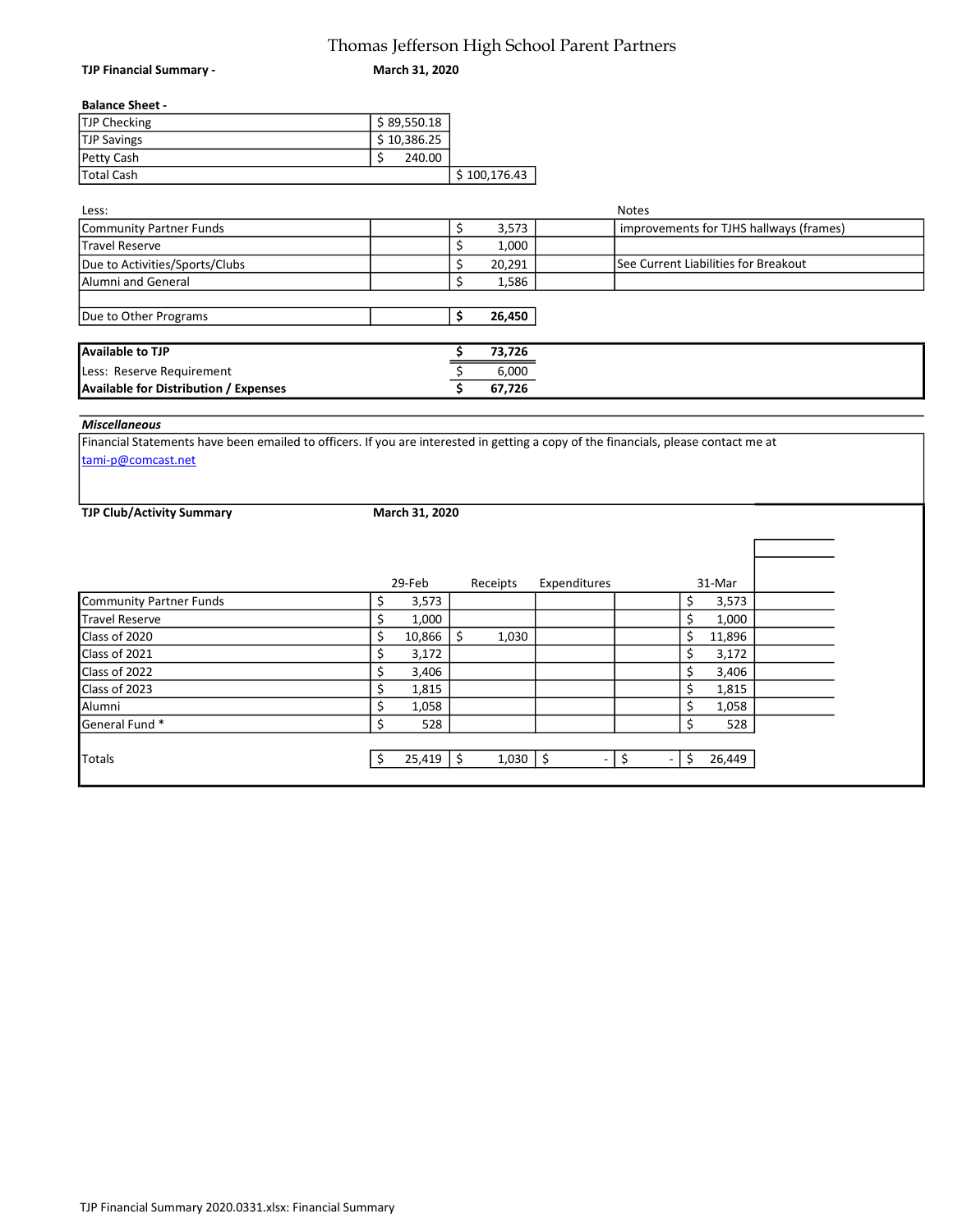## Thomas Jefferson High School Parent Partners

March 31, 2020

## Balance Sheet -

TJP Financial Summary -

| TJP Checking       | \$89,550.18 |              |
|--------------------|-------------|--------------|
| <b>TJP Savings</b> | \$10,386.25 |              |
| Petty Cash         | 240.00      |              |
| <b>Total Cash</b>  |             | \$100,176.43 |

| Less:                                        |        | <b>Notes</b>                            |
|----------------------------------------------|--------|-----------------------------------------|
| Community Partner Funds                      | 3,573  | improvements for TJHS hallways (frames) |
| Travel Reserve                               | 1,000  |                                         |
| Due to Activities/Sports/Clubs               | 20,291 | See Current Liabilities for Breakout    |
| Alumni and General                           | 1,586  |                                         |
|                                              |        |                                         |
| Due to Other Programs                        | 26,450 |                                         |
|                                              |        |                                         |
| Available to TJP                             | 73,726 |                                         |
| Less: Reserve Requirement                    | 6,000  |                                         |
| <b>Available for Distribution / Expenses</b> | 67,726 |                                         |

## Miscellaneous

Financial Statements have been emailed to officers. If you are interested in getting a copy of the financials, please contact me at tami-p@comcast.net

TJP Club/Activity Summary

March 31, 2020

|                         | 29-Feb     | Receipts               | Expenditures | 31-Mar      |  |
|-------------------------|------------|------------------------|--------------|-------------|--|
| Community Partner Funds | 3,573<br>S |                        |              | 3,573<br>\$ |  |
| Travel Reserve          | 1,000      |                        |              | 1,000       |  |
| Class of 2020           | 10,866     | 1,030                  |              | 11,896      |  |
| Class of 2021           | 3,172      |                        |              | 3,172       |  |
| Class of 2022           | 3,406      |                        |              | \$<br>3,406 |  |
| Class of 2023           | 1,815<br>Ś |                        |              | \$<br>1,815 |  |
| Alumni                  | 1,058      |                        |              | 1,058       |  |
| General Fund *          | 528        |                        |              | 528<br>Ś    |  |
|                         |            |                        |              |             |  |
| <b>Totals</b>           | 25,419     | 1,030<br><sup>\$</sup> | Ŝ.<br>Ξ.     | 26,449<br>Ś |  |